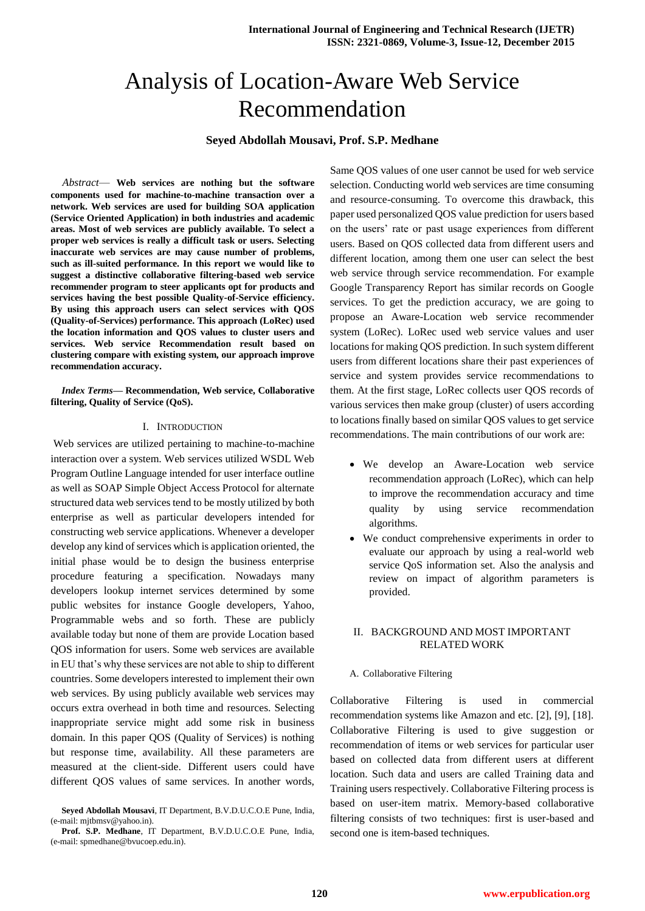# Analysis of Location-Aware Web Service Recommendation

# **Seyed Abdollah Mousavi, Prof. S.P. Medhane**

*Abstract*— **Web services are nothing but the software components used for machine-to-machine transaction over a network. Web services are used for building SOA application (Service Oriented Application) in both industries and academic areas. Most of web services are publicly available. To select a proper web services is really a difficult task or users. Selecting inaccurate web services are may cause number of problems, such as ill-suited performance. In this report we would like to suggest a distinctive collaborative filtering-based web service recommender program to steer applicants opt for products and services having the best possible Quality-of-Service efficiency. By using this approach users can select services with QOS (Quality-of-Services) performance. This approach (LoRec) used the location information and QOS values to cluster users and services. Web service Recommendation result based on clustering compare with existing system, our approach improve recommendation accuracy.**

## *Index Terms***— Recommendation, Web service, Collaborative filtering, Quality of Service (QoS).**

## I. INTRODUCTION

Web services are utilized pertaining to machine-to-machine interaction over a system. Web services utilized WSDL Web Program Outline Language intended for user interface outline as well as SOAP Simple Object Access Protocol for alternate structured data web services tend to be mostly utilized by both enterprise as well as particular developers intended for constructing web service applications. Whenever a developer develop any kind of services which is application oriented, the initial phase would be to design the business enterprise procedure featuring a specification. Nowadays many developers lookup internet services determined by some public websites for instance Google developers, Yahoo, Programmable webs and so forth. These are publicly available today but none of them are provide Location based QOS information for users. Some web services are available in EU that's why these services are not able to ship to different countries. Some developers interested to implement their own web services. By using publicly available web services may occurs extra overhead in both time and resources. Selecting inappropriate service might add some risk in business domain. In this paper QOS (Quality of Services) is nothing but response time, availability. All these parameters are measured at the client-side. Different users could have different QOS values of same services. In another words, Same QOS values of one user cannot be used for web service selection. Conducting world web services are time consuming and resource-consuming. To overcome this drawback, this paper used personalized QOS value prediction for users based on the users' rate or past usage experiences from different users. Based on QOS collected data from different users and different location, among them one user can select the best web service through service recommendation. For example Google Transparency Report has similar records on Google services. To get the prediction accuracy, we are going to propose an Aware-Location web service recommender system (LoRec). LoRec used web service values and user locations for making QOS prediction. In such system different users from different locations share their past experiences of service and system provides service recommendations to them. At the first stage, LoRec collects user QOS records of various services then make group (cluster) of users according to locations finally based on similar QOS values to get service recommendations. The main contributions of our work are:

- We develop an Aware-Location web service recommendation approach (LoRec), which can help to improve the recommendation accuracy and time quality by using service recommendation algorithms.
- We conduct comprehensive experiments in order to evaluate our approach by using a real-world web service QoS information set. Also the analysis and review on impact of algorithm parameters is provided.

# II. BACKGROUND AND MOST IMPORTANT RELATED WORK

## A. Collaborative Filtering

Collaborative Filtering is used in commercial recommendation systems like Amazon and etc. [2], [9], [18]. Collaborative Filtering is used to give suggestion or recommendation of items or web services for particular user based on collected data from different users at different location. Such data and users are called Training data and Training users respectively. Collaborative Filtering process is based on user-item matrix. Memory-based collaborative filtering consists of two techniques: first is user-based and second one is item-based techniques.

**Seyed Abdollah Mousavi**, IT Department, B.V.D.U.C.O.E Pune, India,  $(e-mail: [mitbmsv@vahoo.in](mailto:mitbmsv@vahoo_in)).$ 

**Prof. S.P. Medhane**, IT Department, B.V.D.U.C.O.E Pune, India, (e-mail: spmedhane@bvucoep.edu.in).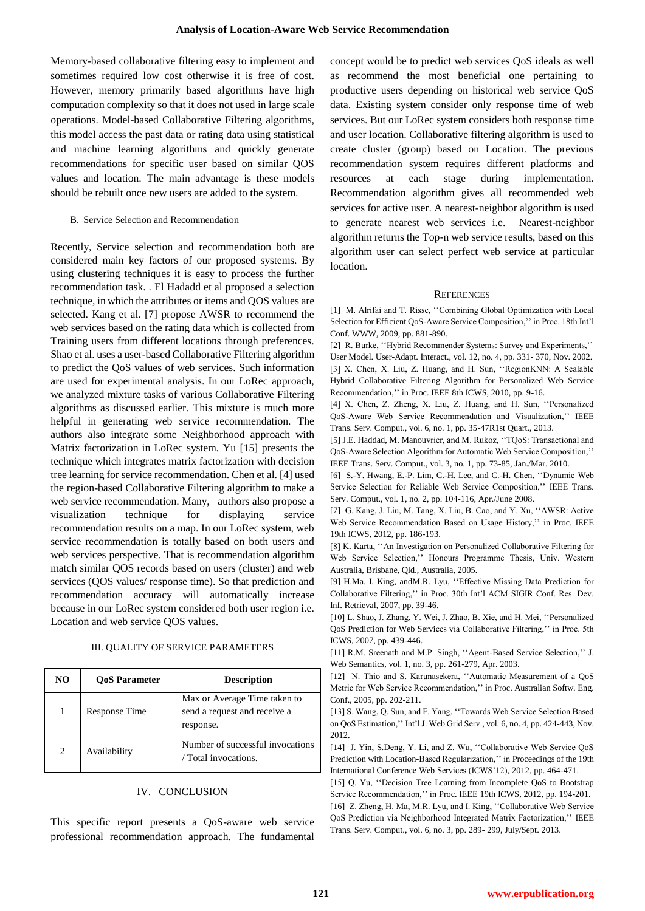Memory-based collaborative filtering easy to implement and sometimes required low cost otherwise it is free of cost. However, memory primarily based algorithms have high computation complexity so that it does not used in large scale operations. Model-based Collaborative Filtering algorithms, this model access the past data or rating data using statistical and machine learning algorithms and quickly generate recommendations for specific user based on similar QOS values and location. The main advantage is these models should be rebuilt once new users are added to the system.

## B. Service Selection and Recommendation

Recently, Service selection and recommendation both are considered main key factors of our proposed systems. By using clustering techniques it is easy to process the further recommendation task. . El Hadadd et al proposed a selection technique, in which the attributes or items and QOS values are selected. Kang et al. [7] propose AWSR to recommend the web services based on the rating data which is collected from Training users from different locations through preferences. Shao et al. uses a user-based Collaborative Filtering algorithm to predict the QoS values of web services. Such information are used for experimental analysis. In our LoRec approach, we analyzed mixture tasks of various Collaborative Filtering algorithms as discussed earlier. This mixture is much more helpful in generating web service recommendation. The authors also integrate some Neighborhood approach with Matrix factorization in LoRec system. Yu [15] presents the technique which integrates matrix factorization with decision tree learning for service recommendation. Chen et al. [4] used the region-based Collaborative Filtering algorithm to make a web service recommendation. Many, authors also propose a visualization technique for displaying service recommendation results on a map. In our LoRec system, web service recommendation is totally based on both users and web services perspective. That is recommendation algorithm match similar QOS records based on users (cluster) and web services (QOS values/ response time). So that prediction and recommendation accuracy will automatically increase because in our LoRec system considered both user region i.e. Location and web service QOS values.

## III. QUALITY OF SERVICE PARAMETERS

| NO | <b>OoS</b> Parameter | <b>Description</b>                                                        |
|----|----------------------|---------------------------------------------------------------------------|
|    | Response Time        | Max or Average Time taken to<br>send a request and receive a<br>response. |
| 2  | Availability         | Number of successful invocations<br>Total invocations.                    |

## IV. CONCLUSION

This specific report presents a QoS-aware web service professional recommendation approach. The fundamental concept would be to predict web services QoS ideals as well as recommend the most beneficial one pertaining to productive users depending on historical web service QoS data. Existing system consider only response time of web services. But our LoRec system considers both response time and user location. Collaborative filtering algorithm is used to create cluster (group) based on Location. The previous recommendation system requires different platforms and resources at each stage during implementation. Recommendation algorithm gives all recommended web services for active user. A nearest-neighbor algorithm is used to generate nearest web services i.e. Nearest-neighbor algorithm returns the Top-n web service results, based on this algorithm user can select perfect web service at particular location.

#### **REFERENCES**

[1] M. Alrifai and T. Risse, ''Combining Global Optimization with Local Selection for Efficient QoS-Aware Service Composition,'' in Proc. 18th Int'l Conf. WWW, 2009, pp. 881-890.

[2] R. Burke, ''Hybrid Recommender Systems: Survey and Experiments,''

User Model. User-Adapt. Interact., vol. 12, no. 4, pp. 331- 370, Nov. 2002. [3] X. Chen, X. Liu, Z. Huang, and H. Sun, ''RegionKNN: A Scalable Hybrid Collaborative Filtering Algorithm for Personalized Web Service Recommendation,'' in Proc. IEEE 8th ICWS, 2010, pp. 9-16.

[4] X. Chen, Z. Zheng, X. Liu, Z. Huang, and H. Sun, ''Personalized QoS-Aware Web Service Recommendation and Visualization,'' IEEE Trans. Serv. Comput., vol. 6, no. 1, pp. 35-47R1st Quart., 2013.

[5] J.E. Haddad, M. Manouvrier, and M. Rukoz, ''TQoS: Transactional and QoS-Aware Selection Algorithm for Automatic Web Service Composition,'' IEEE Trans. Serv. Comput., vol. 3, no. 1, pp. 73-85, Jan./Mar. 2010.

[6] S.-Y. Hwang, E.-P. Lim, C.-H. Lee, and C.-H. Chen, ''Dynamic Web Service Selection for Reliable Web Service Composition,'' IEEE Trans. Serv. Comput., vol. 1, no. 2, pp. 104-116, Apr./June 2008.

[7] G. Kang, J. Liu, M. Tang, X. Liu, B. Cao, and Y. Xu, ''AWSR: Active Web Service Recommendation Based on Usage History,'' in Proc. IEEE 19th ICWS, 2012, pp. 186-193.

[8] K. Karta, ''An Investigation on Personalized Collaborative Filtering for Web Service Selection,'' Honours Programme Thesis, Univ. Western Australia, Brisbane, Qld., Australia, 2005.

[9] H.Ma, I. King, andM.R. Lyu, ''Effective Missing Data Prediction for Collaborative Filtering,'' in Proc. 30th Int'l ACM SIGIR Conf. Res. Dev. Inf. Retrieval, 2007, pp. 39-46.

[10] L. Shao, J. Zhang, Y. Wei, J. Zhao, B. Xie, and H. Mei, ''Personalized QoS Prediction for Web Services via Collaborative Filtering,'' in Proc. 5th ICWS, 2007, pp. 439-446.

[11] R.M. Sreenath and M.P. Singh, "Agent-Based Service Selection," J. Web Semantics, vol. 1, no. 3, pp. 261-279, Apr. 2003.

[12] N. Thio and S. Karunasekera, "Automatic Measurement of a QoS Metric for Web Service Recommendation,'' in Proc. Australian Softw. Eng. Conf., 2005, pp. 202-211.

[13] S. Wang, Q. Sun, and F. Yang, ''Towards Web Service Selection Based on QoS Estimation,'' Int'l J. Web Grid Serv., vol. 6, no. 4, pp. 424-443, Nov. 2012.

[14] J. Yin, S.Deng, Y. Li, and Z. Wu, ''Collaborative Web Service QoS Prediction with Location-Based Regularization,'' in Proceedings of the 19th International Conference Web Services (ICWS'12), 2012, pp. 464-471.

[15] Q. Yu, "Decision Tree Learning from Incomplete QoS to Bootstrap Service Recommendation,'' in Proc. IEEE 19th ICWS, 2012, pp. 194-201.

[16] Z. Zheng, H. Ma, M.R. Lyu, and I. King, ''Collaborative Web Service QoS Prediction via Neighborhood Integrated Matrix Factorization,'' IEEE Trans. Serv. Comput., vol. 6, no. 3, pp. 289- 299, July/Sept. 2013.